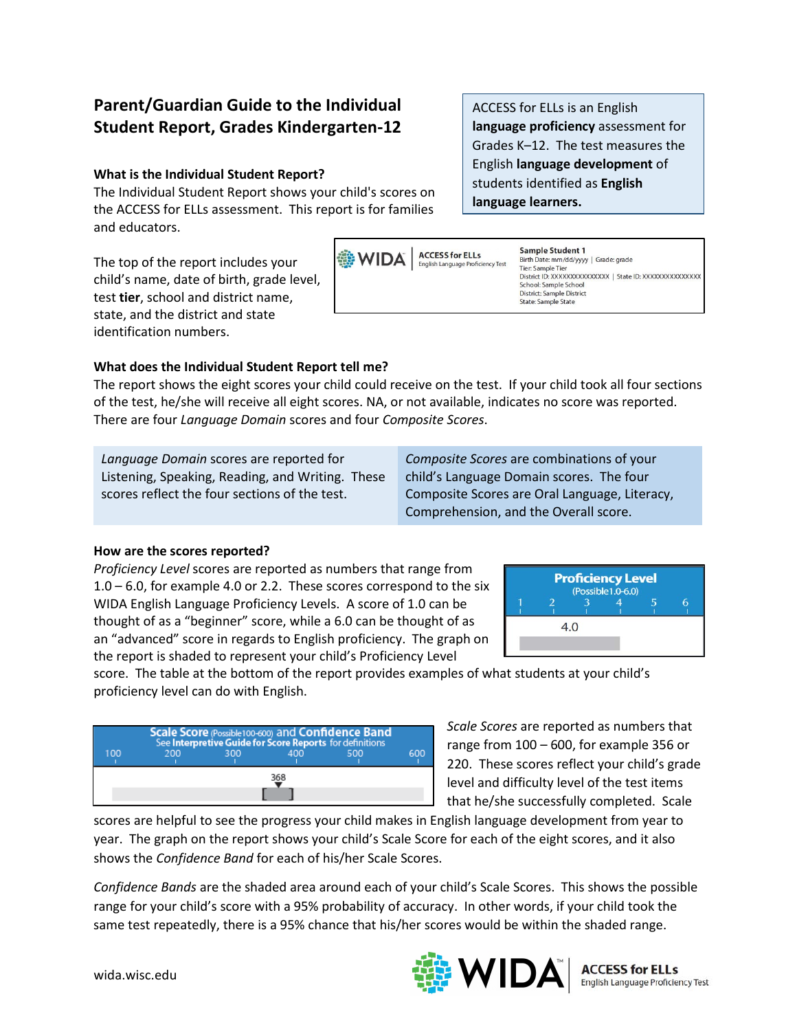# **Parent/Guardian Guide to the Individual Student Report, Grades Kindergarten-12**

## **What is the Individual Student Report?**

The Individual Student Report shows your child's scores on the ACCESS for ELLs assessment. This report is for families and educators.

The top of the report includes your child's name, date of birth, grade level, test **tier**, school and district name, state, and the district and state identification numbers.





#### **What does the Individual Student Report tell me?**

The report shows the eight scores your child could receive on the test. If your child took all four sections of the test, he/she will receive all eight scores. NA, or not available, indicates no score was reported. There are four *Language Domain* scores and four *Composite Scores*.

*Language Domain* scores are reported for Listening, Speaking, Reading, and Writing. These scores reflect the four sections of the test.

*Composite Scores* are combinations of your child's Language Domain scores. The four Composite Scores are Oral Language, Literacy, Comprehension, and the Overall score.

#### **How are the scores reported?**

*Proficiency Level* scores are reported as numbers that range from  $1.0 - 6.0$ , for example 4.0 or 2.2. These scores correspond to the six WIDA English Language Proficiency Levels. A score of 1.0 can be thought of as a "beginner" score, while a 6.0 can be thought of as an "advanced" score in regards to English proficiency. The graph on the report is shaded to represent your child's Proficiency Level



score. The table at the bottom of the report provides examples of what students at your child's proficiency level can do with English.



*Scale Scores* are reported as numbers that range from 100 – 600, for example 356 or 220. These scores reflect your child's grade level and difficulty level of the test items that he/she successfully completed. Scale

scores are helpful to see the progress your child makes in English language development from year to year. The graph on the report shows your child's Scale Score for each of the eight scores, and it also shows the *Confidence Band* for each of his/her Scale Scores.

*Confidence Bands* are the shaded area around each of your child's Scale Scores. This shows the possible range for your child's score with a 95% probability of accuracy. In other words, if your child took the same test repeatedly, there is a 95% chance that his/her scores would be within the shaded range.